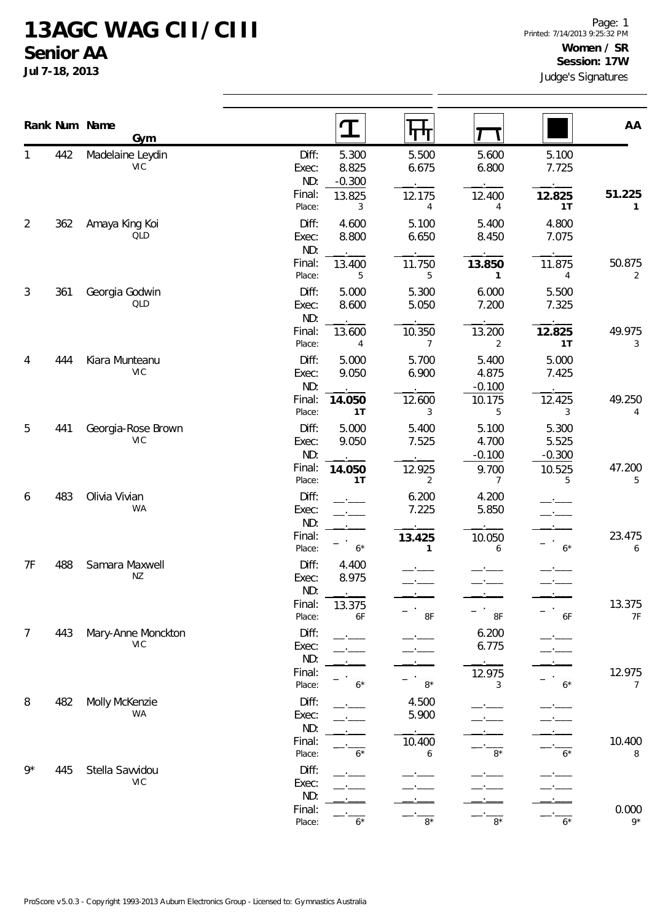## **13AGC WAG CII/CIII Senior AA**

**Jul 7-18, 2013**

|                |     | Rank Num Name<br>Gym             |                       | $\mathbf T$                | पाप                      |                            |                            | AA            |  |
|----------------|-----|----------------------------------|-----------------------|----------------------------|--------------------------|----------------------------|----------------------------|---------------|--|
| 1              | 442 | Madelaine Leydin<br><b>VIC</b>   | Diff:<br>Exec:<br>ND: | 5.300<br>8.825<br>$-0.300$ | 5.500<br>6.675           | 5.600<br>6.800             | 5.100<br>7.725             |               |  |
|                |     |                                  | Final:<br>Place:      | 13.825<br>3                | 12.175<br>4              | 12.400<br>4                | 12.825<br>1T               | 51.225<br>1   |  |
| $\overline{2}$ | 362 | Amaya King Koi<br>QLD            | Diff:<br>Exec:<br>ND: | 4.600<br>8.800             | 5.100<br>6.650           | 5.400<br>8.450             | 4.800<br>7.075             |               |  |
|                |     |                                  | Final:<br>Place:      | 13.400<br>5                | 11.750<br>5              | 13.850<br>$\mathbf{1}$     | 11.875<br>4                | 50.875<br>2   |  |
| 3              | 361 | Georgia Godwin<br>QLD            | Diff:<br>Exec:<br>ND: | 5.000<br>8.600             | 5.300<br>5.050           | 6.000<br>7.200             | 5.500<br>7.325             |               |  |
|                |     |                                  | Final:<br>Place:      | 13.600<br>4                | 10.350<br>$\overline{7}$ | 13.200<br>$\overline{2}$   | 12.825<br>1T               | 49.975<br>3   |  |
| 4              | 444 | Kiara Munteanu<br><b>VIC</b>     | Diff:<br>Exec:<br>ND: | 5.000<br>9.050             | 5.700<br>6.900           | 5.400<br>4.875<br>$-0.100$ | 5.000<br>7.425             |               |  |
|                |     |                                  | Final:<br>Place:      | 14.050<br>1T               | 12.600<br>3              | 10.175<br>5                | 12.425<br>3                | 49.250<br>4   |  |
| 5              | 441 | Georgia-Rose Brown<br><b>VIC</b> | Diff:<br>Exec:<br>ND: | 5.000<br>9.050             | 5.400<br>7.525           | 5.100<br>4.700<br>$-0.100$ | 5.300<br>5.525<br>$-0.300$ |               |  |
|                |     |                                  | Final:<br>Place:      | 14.050<br>1T               | 12.925<br>2              | 9.700<br>7                 | 10.525<br>5                | 47.200<br>5   |  |
| 6              | 483 | Olivia Vivian<br>WA              | Diff:<br>Exec:<br>ND: |                            | 6.200<br>7.225           | 4.200<br>5.850             |                            |               |  |
|                |     |                                  | Final:<br>Place:      | $6*$                       | 13.425<br>1              | 10.050<br>6                | $6*$                       | 23.475<br>6   |  |
| 7F             | 488 | Samara Maxwell<br>ΝZ             | Diff:<br>Exec:<br>ND: | 4.400<br>8.975             |                          |                            |                            |               |  |
|                |     |                                  | Final:<br>Place:      | 13.375<br>6F               | 8F                       | $8\textrm{F}$              | 6F                         | 13.375<br>7F  |  |
| $\overline{7}$ | 443 | Mary-Anne Monckton<br>VIC        | Diff:<br>Exec:<br>ND: |                            |                          | 6.200<br>6.775             |                            |               |  |
|                |     |                                  | Final:<br>Place:      | $6*$                       | $8*$                     | 12.975<br>3                | $6*$                       | 12.975<br>7   |  |
| 8              | 482 | Molly McKenzie<br>WA             | Diff:<br>Exec:<br>ND: |                            | 4.500<br>5.900           |                            |                            |               |  |
|                |     |                                  | Final:<br>Place:      | $6*$                       | 10.400<br>6              | $8*$                       | 6*                         | 10.400<br>8   |  |
| $9*$           | 445 | Stella Savvidou<br><b>VIC</b>    | Diff:<br>Exec:<br>ND: |                            |                          |                            |                            |               |  |
|                |     |                                  | Final:<br>Place:      | $6*$                       | $8*$                     | $8*$                       | $6*$                       | 0.000<br>$9*$ |  |